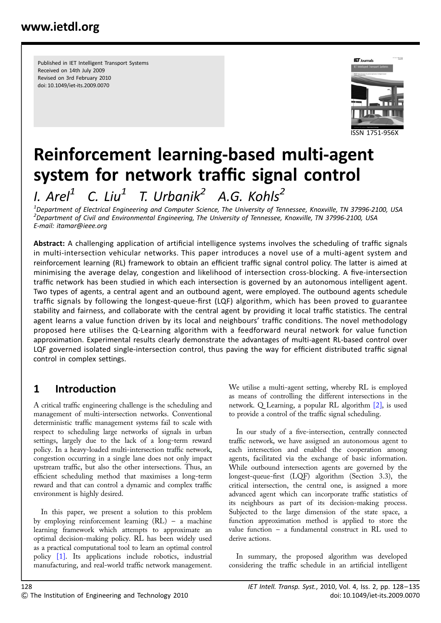Published in IET Intelligent Transport Systems Received on 14th July 2009 Revised on 3rd February 2010 doi: 10.1049/iet-its.2009.0070



# Reinforcement learning-based multi-agent system for network traffic signal control

I. Arel<sup>1</sup> C. Liu<sup>1</sup> T. Urbanik<sup>2</sup> A.G. Kohls<sup>2</sup>

 $^{\text{1}}$ Department of Electrical Engineering and Computer Science, The University of Tennessee, Knoxville, TN 37996-2100, USA 2 Department of Civil and Environmental Engineering, The University of Tennessee, Knoxville, TN 37996-2100, USA E-mail: itamar@ieee.org

Abstract: A challenging application of artificial intelligence systems involves the scheduling of traffic signals in multi-intersection vehicular networks. This paper introduces a novel use of a multi-agent system and reinforcement learning (RL) framework to obtain an efficient traffic signal control policy. The latter is aimed at minimising the average delay, congestion and likelihood of intersection cross-blocking. A five-intersection traffic network has been studied in which each intersection is governed by an autonomous intelligent agent. Two types of agents, a central agent and an outbound agent, were employed. The outbound agents schedule traffic signals by following the longest-queue-first (LQF) algorithm, which has been proved to guarantee stability and fairness, and collaborate with the central agent by providing it local traffic statistics. The central agent learns a value function driven by its local and neighbours' traffic conditions. The novel methodology proposed here utilises the Q-Learning algorithm with a feedforward neural network for value function approximation. Experimental results clearly demonstrate the advantages of multi-agent RL-based control over LQF governed isolated single-intersection control, thus paving the way for efficient distributed traffic signal control in complex settings.

# 1 Introduction

A critical traffic engineering challenge is the scheduling and management of multi-intersection networks. Conventional deterministic traffic management systems fail to scale with respect to scheduling large networks of signals in urban settings, largely due to the lack of a long-term reward policy. In a heavy-loaded multi-intersection traffic network, congestion occurring in a single lane does not only impact upstream traffic, but also the other intersections. Thus, an efficient scheduling method that maximises a long-term reward and that can control a dynamic and complex traffic environment is highly desired.

In this paper, we present a solution to this problem by employing reinforcement learning (RL) – a machine learning framework which attempts to approximate an optimal decision-making policy. RL has been widely used as a practical computational tool to learn an optimal control policy [\[1\]](#page-7-0). Its applications include robotics, industrial manufacturing, and real-world traffic network management. We utilise a multi-agent setting, whereby RL is employed as means of controlling the different intersections in the network. Q Learning, a popular RL algorithm [\[2\],](#page-7-0) is used to provide a control of the traffic signal scheduling.

In our study of a five-intersection, centrally connected traffic network, we have assigned an autonomous agent to each intersection and enabled the cooperation among agents, facilitated via the exchange of basic information. While outbound intersection agents are governed by the longest-queue-first (LQF) algorithm (Section 3.3), the critical intersection, the central one, is assigned a more advanced agent which can incorporate traffic statistics of its neighbours as part of its decision-making process. Subjected to the large dimension of the state space, a function approximation method is applied to store the value function – a fundamental construct in RL used to derive actions.

In summary, the proposed algorithm was developed considering the traffic schedule in an artificial intelligent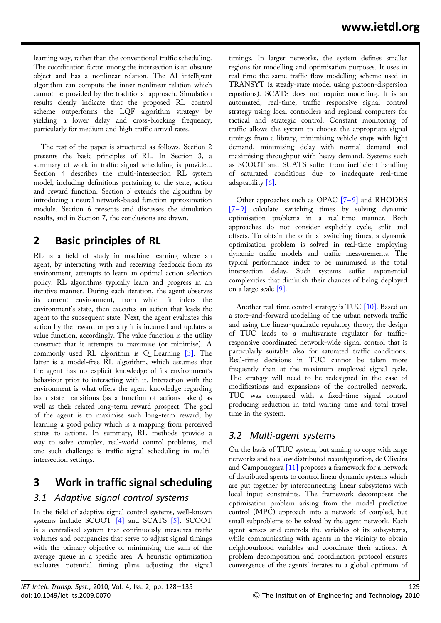learning way, rather than the conventional traffic scheduling. The coordination factor among the intersection is an obscure object and has a nonlinear relation. The AI intelligent algorithm can compute the inner nonlinear relation which cannot be provided by the traditional approach. Simulation results clearly indicate that the proposed RL control scheme outperforms the LQF algorithm strategy by yielding a lower delay and cross-blocking frequency, particularly for medium and high traffic arrival rates.

The rest of the paper is structured as follows. Section 2 presents the basic principles of RL. In Section 3, a summary of work in traffic signal scheduling is provided. Section 4 describes the multi-intersection RL system model, including definitions pertaining to the state, action and reward function. Section 5 extends the algorithm by introducing a neural network-based function approximation module. Section 6 presents and discusses the simulation results, and in Section 7, the conclusions are drawn.

# 2 Basic principles of RL

RL is a field of study in machine learning where an agent, by interacting with and receiving feedback from its environment, attempts to learn an optimal action selection policy. RL algorithms typically learn and progress in an iterative manner. During each iteration, the agent observes its current environment, from which it infers the environment's state, then executes an action that leads the agent to the subsequent state. Next, the agent evaluates this action by the reward or penalty it is incurred and updates a value function, accordingly. The value function is the utility construct that it attempts to maximise (or minimise). A commonly used RL algorithm is Q Learning [\[3\]](#page-7-0). The latter is a model-free RL algorithm, which assumes that the agent has no explicit knowledge of its environment's behaviour prior to interacting with it. Interaction with the environment is what offers the agent knowledge regarding both state transitions (as a function of actions taken) as well as their related long-term reward prospect. The goal of the agent is to maximise such long-term reward, by learning a good policy which is a mapping from perceived states to actions. In summary, RL methods provide a way to solve complex, real-world control problems, and one such challenge is traffic signal scheduling in multiintersection settings.

# 3 Work in traffic signal scheduling

#### 3.1 Adaptive signal control systems

In the field of adaptive signal control systems, well-known systems include SCOOT [\[4\]](#page-7-0) and SCATS [\[5\].](#page-7-0) SCOOT is a centralised system that continuously measures traffic volumes and occupancies that serve to adjust signal timings with the primary objective of minimising the sum of the average queue in a specific area. A heuristic optimisation evaluates potential timing plans adjusting the signal

timings. In larger networks, the system defines smaller regions for modelling and optimisation purposes. It uses in real time the same traffic flow modelling scheme used in TRANSYT (a steady-state model using platoon-dispersion equations). SCATS does not require modelling. It is an automated, real-time, traffic responsive signal control strategy using local controllers and regional computers for tactical and strategic control. Constant monitoring of traffic allows the system to choose the appropriate signal timings from a library, minimising vehicle stops with light demand, minimising delay with normal demand and maximising throughput with heavy demand. Systems such as SCOOT and SCATS suffer from inefficient handling of saturated conditions due to inadequate real-time adaptability [\[6\].](#page-7-0)

Other approaches such as OPAC [7-9] and RHODES  $[7-9]$  calculate switching times by solving dynamic optimisation problems in a real-time manner. Both approaches do not consider explicitly cycle, split and offsets. To obtain the optimal switching times, a dynamic optimisation problem is solved in real-time employing dynamic traffic models and traffic measurements. The typical performance index to be minimised is the total intersection delay. Such systems suffer exponential complexities that diminish their chances of being deployed on a large scale [\[9\]](#page-7-0).

Another real-time control strategy is TUC [\[10\]](#page-7-0). Based on a store-and-forward modelling of the urban network traffic and using the linear-quadratic regulatory theory, the design of TUC leads to a multivariate regulator for trafficresponsive coordinated network-wide signal control that is particularly suitable also for saturated traffic conditions. Real-time decisions in TUC cannot be taken more frequently than at the maximum employed signal cycle. The strategy will need to be redesigned in the case of modifications and expansions of the controlled network. TUC was compared with a fixed-time signal control producing reduction in total waiting time and total travel time in the system.

#### 3.2 Multi-agent systems

On the basis of TUC system, but aiming to cope with large networks and to allow distributed reconfiguration, de Oliveira and Camponogara [\[11\]](#page-7-0) proposes a framework for a network of distributed agents to control linear dynamic systems which are put together by interconnecting linear subsystems with local input constraints. The framework decomposes the optimisation problem arising from the model predictive control (MPC) approach into a network of coupled, but small subproblems to be solved by the agent network. Each agent senses and controls the variables of its subsystems, while communicating with agents in the vicinity to obtain neighbourhood variables and coordinate their actions. A problem decomposition and coordination protocol ensures convergence of the agents' iterates to a global optimum of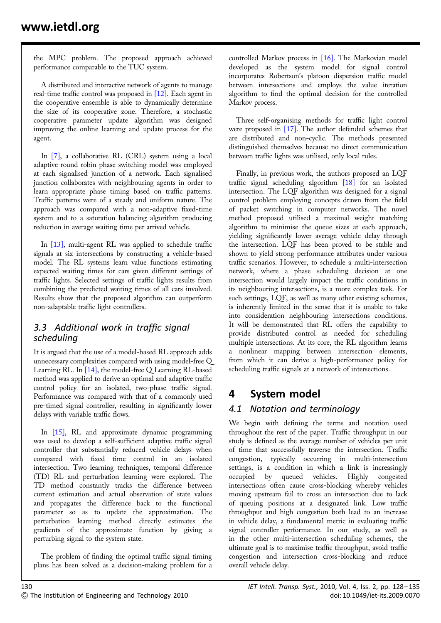the MPC problem. The proposed approach achieved performance comparable to the TUC system.

A distributed and interactive network of agents to manage real-time traffic control was proposed in [\[12\]](#page-7-0). Each agent in the cooperative ensemble is able to dynamically determine the size of its cooperative zone. Therefore, a stochastic cooperative parameter update algorithm was designed improving the online learning and update process for the agent.

In [\[7\]](#page-7-0), a collaborative RL (CRL) system using a local adaptive round robin phase switching model was employed at each signalised junction of a network. Each signalised junction collaborates with neighbouring agents in order to learn appropriate phase timing based on traffic patterns. Traffic patterns were of a steady and uniform nature. The approach was compared with a non-adaptive fixed-time system and to a saturation balancing algorithm producing reduction in average waiting time per arrived vehicle.

In [\[13\]](#page-7-0), multi-agent RL was applied to schedule traffic signals at six intersections by constructing a vehicle-based model. The RL systems learn value functions estimating expected waiting times for cars given different settings of traffic lights. Selected settings of traffic lights results from combining the predicted waiting times of all cars involved. Results show that the proposed algorithm can outperform non-adaptable traffic light controllers.

#### 3.3 Additional work in traffic signal scheduling

It is argued that the use of a model-based RL approach adds unnecessary complexities compared with using model-free Q Learning RL. In [\[14\]](#page-7-0), the model-free Q Learning RL-based method was applied to derive an optimal and adaptive traffic control policy for an isolated, two-phase traffic signal. Performance was compared with that of a commonly used pre-timed signal controller, resulting in significantly lower delays with variable traffic flows.

In [\[15\]](#page-7-0), RL and approximate dynamic programming was used to develop a self-sufficient adaptive traffic signal controller that substantially reduced vehicle delays when compared with fixed time control in an isolated intersection. Two learning techniques, temporal difference (TD) RL and perturbation learning were explored. The TD method constantly tracks the difference between current estimation and actual observation of state values and propagates the difference back to the functional parameter so as to update the approximation. The perturbation learning method directly estimates the gradients of the approximate function by giving a perturbing signal to the system state.

The problem of finding the optimal traffic signal timing plans has been solved as a decision-making problem for a

controlled Markov process in [\[16\]](#page-7-0). The Markovian model developed as the system model for signal control incorporates Robertson's platoon dispersion traffic model between intersections and employs the value iteration algorithm to find the optimal decision for the controlled Markov process.

Three self-organising methods for traffic light control were proposed in [\[17\]](#page-7-0). The author defended schemes that are distributed and non-cyclic. The methods presented distinguished themselves because no direct communication between traffic lights was utilised, only local rules.

Finally, in previous work, the authors proposed an LQF traffic signal scheduling algorithm  $\begin{bmatrix} 18 \end{bmatrix}$  for an isolated intersection. The LQF algorithm was designed for a signal control problem employing concepts drawn from the field of packet switching in computer networks. The novel method proposed utilised a maximal weight matching algorithm to minimise the queue sizes at each approach, yielding significantly lower average vehicle delay through the intersection. LQF has been proved to be stable and shown to yield strong performance attributes under various traffic scenarios. However, to schedule a multi-intersection network, where a phase scheduling decision at one intersection would largely impact the traffic conditions in its neighbouring intersections, is a more complex task. For such settings, LQF, as well as many other existing schemes, is inherently limited in the sense that it is unable to take into consideration neighbouring intersections conditions. It will be demonstrated that RL offers the capability to provide distributed control as needed for scheduling multiple intersections. At its core, the RL algorithm learns a nonlinear mapping between intersection elements, from which it can derive a high-performance policy for scheduling traffic signals at a network of intersections.

## 4 System model

#### 4.1 Notation and terminology

We begin with defining the terms and notation used throughout the rest of the paper. Traffic throughput in our study is defined as the average number of vehicles per unit of time that successfully traverse the intersection. Traffic congestion, typically occurring in multi-intersection settings, is a condition in which a link is increasingly occupied by queued vehicles. Highly congested intersections often cause cross-blocking whereby vehicles moving upstream fail to cross an intersection due to lack of queuing positions at a designated link. Low traffic throughput and high congestion both lead to an increase in vehicle delay, a fundamental metric in evaluating traffic signal controller performance. In our study, as well as in the other multi-intersection scheduling schemes, the ultimate goal is to maximise traffic throughput, avoid traffic congestion and intersection cross-blocking and reduce overall vehicle delay.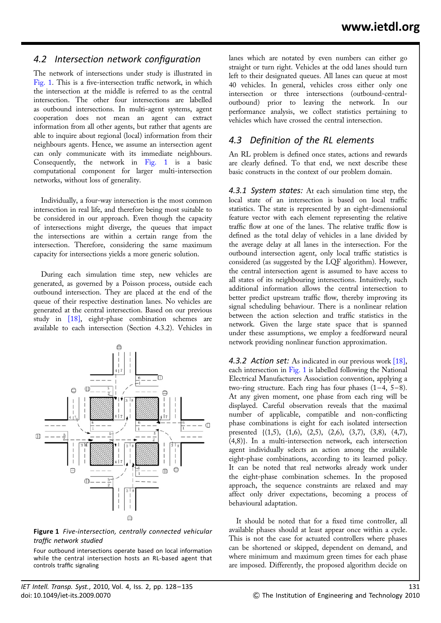#### 4.2 Intersection network configuration

The network of intersections under study is illustrated in Fig. 1. This is a five-intersection traffic network, in which the intersection at the middle is referred to as the central intersection. The other four intersections are labelled as outbound intersections. In multi-agent systems, agent cooperation does not mean an agent can extract information from all other agents, but rather that agents are able to inquire about regional (local) information from their neighbours agents. Hence, we assume an intersection agent can only communicate with its immediate neighbours. Consequently, the network in Fig. 1 is a basic computational component for larger multi-intersection networks, without loss of generality.

Individually, a four-way intersection is the most common intersection in real life, and therefore being most suitable to be considered in our approach. Even though the capacity of intersections might diverge, the queues that impact the intersections are within a certain range from the intersection. Therefore, considering the same maximum capacity for intersections yields a more generic solution.

During each simulation time step, new vehicles are generated, as governed by a Poisson process, outside each outbound intersection. They are placed at the end of the queue of their respective destination lanes. No vehicles are generated at the central intersection. Based on our previous study in [\[18\],](#page-7-0) eight-phase combination schemes are available to each intersection (Section 4.3.2). Vehicles in



Figure 1 Five-intersection, centrally connected vehicular traffic network studied

Four outbound intersections operate based on local information while the central intersection hosts an RL-based agent that controls traffic signaling

lanes which are notated by even numbers can either go straight or turn right. Vehicles at the odd lanes should turn left to their designated queues. All lanes can queue at most 40 vehicles. In general, vehicles cross either only one intersection or three intersections (outbound-centraloutbound) prior to leaving the network. In our performance analysis, we collect statistics pertaining to vehicles which have crossed the central intersection.

#### 4.3 Definition of the RL elements

An RL problem is defined once states, actions and rewards are clearly defined. To that end, we next describe these basic constructs in the context of our problem domain.

4.3.1 System states: At each simulation time step, the local state of an intersection is based on local traffic statistics. The state is represented by an eight-dimensional feature vector with each element representing the relative traffic flow at one of the lanes. The relative traffic flow is defined as the total delay of vehicles in a lane divided by the average delay at all lanes in the intersection. For the outbound intersection agent, only local traffic statistics is considered (as suggested by the LQF algorithm). However, the central intersection agent is assumed to have access to all states of its neighbouring intersections. Intuitively, such additional information allows the central intersection to better predict upstream traffic flow, thereby improving its signal scheduling behaviour. There is a nonlinear relation between the action selection and traffic statistics in the network. Given the large state space that is spanned under these assumptions, we employ a feedforward neural network providing nonlinear function approximation.

4.3.2 Action set: As indicated in our previous work [\[18\]](#page-7-0), each intersection in Fig. 1 is labelled following the National Electrical Manufacturers Association convention, applying a two-ring structure. Each ring has four phases  $(1-4, 5-8)$ . At any given moment, one phase from each ring will be displayed. Careful observation reveals that the maximal number of applicable, compatible and non-conflicting phase combinations is eight for each isolated intersection presented  $\{(1,5), (1,6), (2,5), (2,6), (3,7), (3,8), (4,7),$  $(4,8)$ . In a multi-intersection network, each intersection agent individually selects an action among the available eight-phase combinations, according to its learned policy. It can be noted that real networks already work under the eight-phase combination schemes. In the proposed approach, the sequence constraints are relaxed and may affect only driver expectations, becoming a process of behavioural adaptation.

It should be noted that for a fixed time controller, all available phases should at least appear once within a cycle. This is not the case for actuated controllers where phases can be shortened or skipped, dependent on demand, and where minimum and maximum green times for each phase are imposed. Differently, the proposed algorithm decide on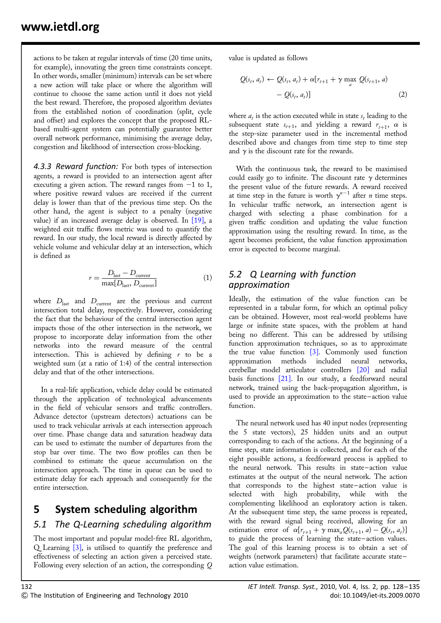actions to be taken at regular intervals of time (20 time units, for example), innovating the green time constraints concept. In other words, smaller (minimum) intervals can be set where a new action will take place or where the algorithm will continue to choose the same action until it does not yield the best reward. Therefore, the proposed algorithm deviates from the established notion of coordination (split, cycle and offset) and explores the concept that the proposed RLbased multi-agent system can potentially guarantee better overall network performance, minimising the average delay, congestion and likelihood of intersection cross-blocking.

4.3.3 Reward function: For both types of intersection agents, a reward is provided to an intersection agent after executing a given action. The reward ranges from  $-1$  to 1, where positive reward values are received if the current delay is lower than that of the previous time step. On the other hand, the agent is subject to a penalty (negative value) if an increased average delay is observed. In [\[19\]](#page-7-0), a weighted exit traffic flows metric was used to quantify the reward. In our study, the local reward is directly affected by vehicle volume and vehicular delay at an intersection, which is defined as

$$
r = \frac{D_{\text{last}} - D_{\text{current}}}{\max[D_{\text{last}}, D_{\text{current}}]}
$$
(1)

where  $D_{\text{last}}$  and  $D_{\text{current}}$  are the previous and current intersection total delay, respectively. However, considering the fact that the behaviour of the central intersection agent impacts those of the other intersection in the network, we propose to incorporate delay information from the other networks into the reward measure of the central intersection. This is achieved by defining  $r$  to be a weighted sum (at a ratio of 1:4) of the central intersection delay and that of the other intersections.

In a real-life application, vehicle delay could be estimated through the application of technological advancements in the field of vehicular sensors and traffic controllers. Advance detector (upstream detectors) actuations can be used to track vehicular arrivals at each intersection approach over time. Phase change data and saturation headway data can be used to estimate the number of departures from the stop bar over time. The two flow profiles can then be combined to estimate the queue accumulation on the intersection approach. The time in queue can be used to estimate delay for each approach and consequently for the entire intersection.

## 5 System scheduling algorithm 5.1 The Q-Learning scheduling algorithm

The most important and popular model-free RL algorithm, Q Learning [\[3\]](#page-7-0), is utilised to quantify the preference and effectiveness of selecting an action given a perceived state. Following every selection of an action, the corresponding Q value is updated as follows

$$
Q(s_t, a_t) \leftarrow Q(s_t, a_t) + \alpha [r_{t+1} + \gamma \max_a Q(s_{t+1}, a) - Q(s_t, a_t)] \tag{2}
$$

where  $a_t$  is the action executed while in state  $s_t$  leading to the subsequent state  $s_{t+1}$ , and yielding a reward  $r_{t+1}$ ,  $\alpha$  is the step-size parameter used in the incremental method described above and changes from time step to time step and  $\gamma$  is the discount rate for the rewards.

With the continuous task, the reward to be maximised could easily go to infinite. The discount rate  $\gamma$  determines the present value of the future rewards. A reward received at time step in the future is worth  $\gamma^{n-1}$  after *n* time steps. In vehicular traffic network, an intersection agent is charged with selecting a phase combination for a given traffic condition and updating the value function approximation using the resulting reward. In time, as the agent becomes proficient, the value function approximation error is expected to become marginal.

#### 5.2 Q Learning with function approximation

Ideally, the estimation of the value function can be represented in a tabular form, for which an optimal policy can be obtained. However, most real-world problems have large or infinite state spaces, with the problem at hand being no different. This can be addressed by utilising function approximation techniques, so as to approximate the true value function [\[3\]](#page-7-0). Commonly used function approximation methods included neural networks, cerebellar model articulator controllers [\[20\]](#page-7-0) and radial basis functions [\[21\].](#page-7-0) In our study, a feedforward neural network, trained using the back-propagation algorithm, is used to provide an approximation to the state –action value function.

The neural network used has 40 input nodes (representing the 5 state vectors), 25 hidden units and an output corresponding to each of the actions. At the beginning of a time step, state information is collected, and for each of the eight possible actions, a feedforward process is applied to the neural network. This results in state–action value estimates at the output of the neural network. The action that corresponds to the highest state –action value is selected with high probability, while with the complementing likelihood an exploratory action is taken. At the subsequent time step, the same process is repeated, with the reward signal being received, allowing for an estimation error of  $\alpha[r_{t+1} + \gamma \max_a Q(s_{t+1}, a) - Q(s_t, a_t)]$ to guide the process of learning the state –action values. The goal of this learning process is to obtain a set of weights (network parameters) that facilitate accurate state– action value estimation.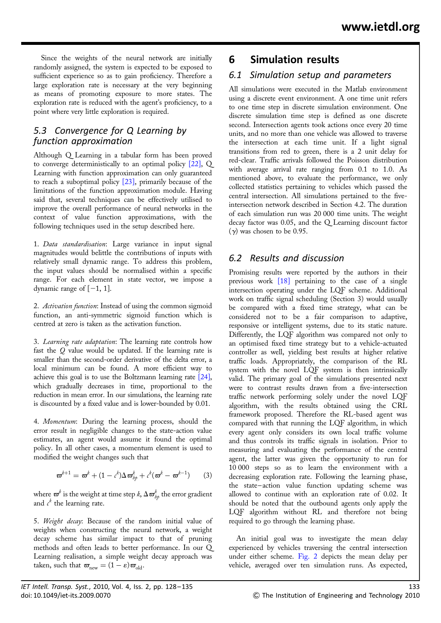Since the weights of the neural network are initially randomly assigned, the system is expected to be exposed to sufficient experience so as to gain proficiency. Therefore a large exploration rate is necessary at the very beginning as means of promoting exposure to more states. The exploration rate is reduced with the agent's proficiency, to a point where very little exploration is required.

#### 5.3 Convergence for Q Learning by function approximation

Although Q Learning in a tabular form has been proved to converge deterministically to an optimal policy [\[22\]](#page-7-0), Q Learning with function approximation can only guaranteed to reach a suboptimal policy [\[23\],](#page-7-0) primarily because of the limitations of the function approximation module. Having said that, several techniques can be effectively utilised to improve the overall performance of neural networks in the context of value function approximations, with the following techniques used in the setup described here.

1. Data standardisation: Large variance in input signal magnitudes would belittle the contributions of inputs with relatively small dynamic range. To address this problem, the input values should be normalised within a specific range. For each element in state vector, we impose a dynamic range of  $[-1, 1]$ .

2. Activation function: Instead of using the common sigmoid function, an anti-symmetric sigmoid function which is centred at zero is taken as the activation function.

3. Learning rate adaptation: The learning rate controls how fast the Q value would be updated. If the learning rate is smaller than the second-order derivative of the delta error, a local minimum can be found. A more efficient way to achieve this goal is to use the Boltzmann learning rate [\[24\],](#page-7-0) which gradually decreases in time, proportional to the reduction in mean error. In our simulations, the learning rate is discounted by a fixed value and is lower-bounded by 0.01.

4. Momentum: During the learning process, should the error result in negligible changes to the state-action value estimates, an agent would assume it found the optimal policy. In all other cases, a momentum element is used to modified the weight changes such that

$$
\boldsymbol{\varpi}^{k+1} = \boldsymbol{\varpi}^k + (1 - \epsilon^k) \Delta \boldsymbol{\varpi}_{bp}^k + \epsilon^k (\boldsymbol{\varpi}^k - \boldsymbol{\varpi}^{k-1}) \qquad (3)
$$

where  $\bm{\varpi}^k$  is the weight at time step  $k, \Delta \bm{\varpi}_{bp}^k$  the error gradient and  $c^k$  the learning rate.

5. Weight decay: Because of the random initial value of weights when constructing the neural network, a weight decay scheme has similar impact to that of pruning methods and often leads to better performance. In our Q Learning realisation, a simple weight decay approach was taken, such that  $\varpi_{\text{new}} = (1 - \varepsilon) \varpi_{\text{old}}$ .

# 6 Simulation results

#### 6.1 Simulation setup and parameters

All simulations were executed in the Matlab environment using a discrete event environment. A one time unit refers to one time step in discrete simulation environment. One discrete simulation time step is defined as one discrete second. Intersection agents took actions once every 20 time units, and no more than one vehicle was allowed to traverse the intersection at each time unit. If a light signal transitions from red to green, there is a 2 unit delay for red-clear. Traffic arrivals followed the Poisson distribution with average arrival rate ranging from 0.1 to 1.0. As mentioned above, to evaluate the performance, we only collected statistics pertaining to vehicles which passed the central intersection. All simulations pertained to the fiveintersection network described in Section 4.2. The duration of each simulation run was 20 000 time units. The weight decay factor was 0.05, and the Q Learning discount factor  $(v)$  was chosen to be 0.95.

#### 6.2 Results and discussion

Promising results were reported by the authors in their previous work [\[18\]](#page-7-0) pertaining to the case of a single intersection operating under the LQF scheme. Additional work on traffic signal scheduling (Section 3) would usually be compared with a fixed time strategy, what can be considered not to be a fair comparison to adaptive, responsive or intelligent systems, due to its static nature. Differently, the LQF algorithm was compared not only to an optimised fixed time strategy but to a vehicle-actuated controller as well, yielding best results at higher relative traffic loads. Appropriately, the comparison of the RL system with the novel LQF system is then intrinsically valid. The primary goal of the simulations presented next were to contrast results drawn from a five-intersection traffic network performing solely under the novel LQF algorithm, with the results obtained using the CRL framework proposed. Therefore the RL-based agent was compared with that running the LQF algorithm, in which every agent only considers its own local traffic volume and thus controls its traffic signals in isolation. Prior to measuring and evaluating the performance of the central agent, the latter was given the opportunity to run for 10 000 steps so as to learn the environment with a decreasing exploration rate. Following the learning phase, the state–action value function updating scheme was allowed to continue with an exploration rate of 0.02. It should be noted that the outbound agents only apply the LQF algorithm without RL and therefore not being required to go through the learning phase.

An initial goal was to investigate the mean delay experienced by vehicles traversing the central intersection under either scheme. [Fig. 2](#page-6-0) depicts the mean delay per vehicle, averaged over ten simulation runs. As expected,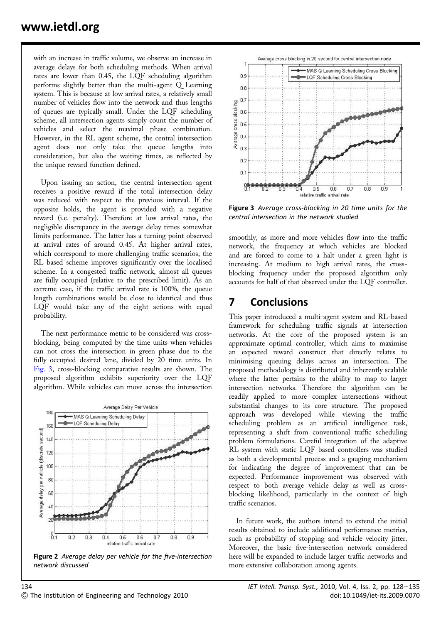<span id="page-6-0"></span>with an increase in traffic volume, we observe an increase in average delays for both scheduling methods. When arrival rates are lower than 0.45, the LQF scheduling algorithm performs slightly better than the multi-agent Q Learning system. This is because at low arrival rates, a relatively small number of vehicles flow into the network and thus lengths of queues are typically small. Under the LQF scheduling scheme, all intersection agents simply count the number of vehicles and select the maximal phase combination. However, in the RL agent scheme, the central intersection agent does not only take the queue lengths into consideration, but also the waiting times, as reflected by the unique reward function defined.

Upon issuing an action, the central intersection agent receives a positive reward if the total intersection delay was reduced with respect to the previous interval. If the opposite holds, the agent is provided with a negative reward (i.e. penalty). Therefore at low arrival rates, the negligible discrepancy in the average delay times somewhat limits performance. The latter has a turning point observed at arrival rates of around 0.45. At higher arrival rates, which correspond to more challenging traffic scenarios, the RL based scheme improves significantly over the localised scheme. In a congested traffic network, almost all queues are fully occupied (relative to the prescribed limit). As an extreme case, if the traffic arrival rate is 100%, the queue length combinations would be close to identical and thus LQF would take any of the eight actions with equal probability.

The next performance metric to be considered was crossblocking, being computed by the time units when vehicles can not cross the intersection in green phase due to the fully occupied desired lane, divided by 20 time units. In Fig. 3, cross-blocking comparative results are shown. The proposed algorithm exhibits superiority over the LQF algorithm. While vehicles can move across the intersection



Figure 2 Average delay per vehicle for the five-intersection network discussed



Figure 3 Average cross-blocking in 20 time units for the central intersection in the network studied

smoothly, as more and more vehicles flow into the traffic network, the frequency at which vehicles are blocked and are forced to come to a halt under a green light is increasing. At medium to high arrival rates, the crossblocking frequency under the proposed algorithm only accounts for half of that observed under the LQF controller.

## 7 Conclusions

This paper introduced a multi-agent system and RL-based framework for scheduling traffic signals at intersection networks. At the core of the proposed system is an approximate optimal controller, which aims to maximise an expected reward construct that directly relates to minimising queuing delays across an intersection. The proposed methodology is distributed and inherently scalable where the latter pertains to the ability to map to larger intersection networks. Therefore the algorithm can be readily applied to more complex intersections without substantial changes to its core structure. The proposed approach was developed while viewing the traffic scheduling problem as an artificial intelligence task, representing a shift from conventional traffic scheduling problem formulations. Careful integration of the adaptive RL system with static LQF based controllers was studied as both a developmental process and a gauging mechanism for indicating the degree of improvement that can be expected. Performance improvement was observed with respect to both average vehicle delay as well as crossblocking likelihood, particularly in the context of high traffic scenarios.

In future work, the authors intend to extend the initial results obtained to include additional performance metrics, such as probability of stopping and vehicle velocity jitter. Moreover, the basic five-intersection network considered here will be expanded to include larger traffic networks and more extensive collaboration among agents.